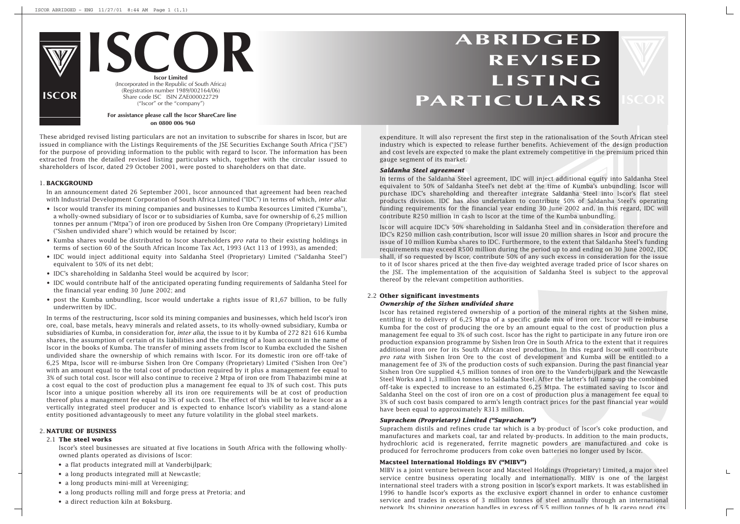# **ABRIDGED REVISED LISTING PARTICULARS**

These abridged revised listing particulars are not an invitation to subscribe for shares in Iscor, but are issued in compliance with the Listings Requirements of the JSE Securities Exchange South Africa ("JSE") for the purpose of providing information to the public with regard to Iscor. The information has been extracted from the detailed revised listing particulars which, together with the circular issued to shareholders of Iscor, dated 29 October 2001, were posted to shareholders on that date.

### 1. **BACKGROUND**

In an announcement dated 26 September 2001, Iscor announced that agreement had been reached with Industrial Development Corporation of South Africa Limited ("IDC") in terms of which, *inter alia*:

- Iscor would transfer its mining companies and businesses to Kumba Resources Limited ("Kumba"), a wholly-owned subsidiary of Iscor or to subsidiaries of Kumba, save for ownership of 6,25 million tonnes per annum ("Mtpa") of iron ore produced by Sishen Iron Ore Company (Proprietary) Limited ("Sishen undivided share") which would be retained by Iscor;
- Kumba shares would be distributed to Iscor shareholders *pro rata* to their existing holdings in terms of section 60 of the South African Income Tax Act, 1993 (Act 113 of 1993), as amended;
- IDC would inject additional equity into Saldanha Steel (Proprietary) Limited ("Saldanha Steel") equivalent to 50% of its net debt;
- IDC's shareholding in Saldanha Steel would be acquired by Iscor;
- IDC would contribute half of the anticipated operating funding requirements of Saldanha Steel for the financial year ending 30 June 2002; and
- post the Kumba unbundling, Iscor would undertake a rights issue of R1,67 billion, to be fully underwritten by IDC.

o represented to<br>ected to<br>ected to<br>narket.<br>**Iment**<br>has seed and for the<br>n in cass 50% sh<br>h contri<br>nba shai In terms of the Saldanha Steel agreement, IDC will inject additional equity into Saldanha Steel equivalent to 50% of Saldanha Steel's net debt at the time of Kumba's unbundling. Iscor will purchase IDC's shareholding and thereafter integrate Saldanha Steel into Iscor's flat steel products division. IDC has also undertaken to contribute 50% of Saldanha Steel's operating funding requirements for the financial year ending 30 June 2002 and, in this regard, IDC will contribute R250 million in cash to Iscor at the time of the Kumba unbundling.

In terms of the restructuring, Iscor sold its mining companies and businesses, which held Iscor's iron ore, coal, base metals, heavy minerals and related assets, to its wholly-owned subsidiary, Kumba or subsidiaries of Kumba, in consideration for, *inter alia*, the issue to it by Kumba of 272 821 616 Kumba shares, the assumption of certain of its liabilities and the crediting of a loan account in the name of Iscor in the books of Kumba. The transfer of mining assets from Iscor to Kumba excluded the Sishen undivided share the ownership of which remains with Iscor. For its domestic iron ore off-take of 6,25 Mtpa, Iscor will re-imburse Sishen Iron Ore Company (Proprietary) Limited ("Sishen Iron Ore") with an amount equal to the total cost of production required by it plus a management fee equal to 3% of such total cost. Iscor will also continue to receive 2 Mtpa of iron ore from Thabazimbi mine at a cost equal to the cost of production plus a management fee equal to 3% of such cost. This puts Iscor into a unique position whereby all its iron ore requirements will be at cost of production thereof plus a management fee equal to 3% of such cost. The effect of this will be to leave Iscor as a vertically integrated steel producer and is expected to enhance Iscor's viability as a stand-alone entity positioned advantageously to meet any future volatility in the global steel markets.

### 2. **NATURE OF BUSINESS**

### 2.1 **The steel works**

Iscor's steel businesses are situated at five locations in South Africa with the following whollyowned plants operated as divisions of Iscor:

on of the mineral rights at the Sishen mine,<br>yrade mix of iron ore. Iscor will re-imburse<br>ount equal to the cost of production plus a<br>the right to participate in any future iron ore<br>in South Africa to the extent that it re Iscor has retained registered ownership of a portion of the mineral rights at the Sishen mine, entitling it to delivery of 6,25 Mtpa of a specific grade mix of iron ore. Iscor will re-imburse Kumba for the cost of producing the ore by an amount equal to the cost of production plus a management fee equal to 3% of such cost. Iscor has the right to participate in any future iron ore production expansion programme by Sishen Iron Ore in South Africa to the extent that it requires additional iron ore for its South African steel production. In this regard Iscor will contribute *pro rata* with Sishen Iron Ore to the cost of development and Kumba will be entitled to a management fee of 3% of the production costs of such expansion. During the past financial year Sishen Iron Ore supplied 4,5 million tonnes of iron ore to the Vanderbijlpark and the Newcastle Steel Works and 1,3 million tonnes to Saldanha Steel. After the latter's full ramp-up the combined off-take is expected to increase to an estimated 6,25 Mtpa. The estimated saving to Iscor and Saldanha Steel on the cost of iron ore on a cost of production plus a management fee equal to 3% of such cost basis compared to arm's length contract prices for the past financial year would have been equal to approximately R313 million.

- a flat products integrated mill at Vanderbijlpark;
- a long products integrated mill at Newcastle;
- a long products mini-mill at Vereeniging;
- a long products rolling mill and forge press at Pretoria; and
- a direct reduction kiln at Boksburg.

MIBV is a joint venture between Iscor and Macsteel Holdings (Proprietary) Limited, a major steel service centre business operating locally and internationally. MIBV is one of the largest international steel traders with a strong position in Iscor's export markets. It was established in 1996 to handle Iscor's exports as the exclusive export channel in order to enhance customer service and trades in excess of 3 million tonnes of steel annually through an international network Its shinning operation handles in excess of  $5.5$  million tonnes of b lk cargo prod cts



 $\Box$ 

expenditure. It will also represent the first step in the rationalisation of the South African steel industry which is expected to release further benefits. Achievement of the design production and cost levels are expected to make the plant extremely competitive in the premium priced thin gauge segment of its market.

### *Saldanha Steel agreement*

Iscor will acquire IDC's 50% shareholding in Saldanha Steel and in consideration therefore and IDC's R250 million cash contribution, Iscor will issue 20 million shares in Iscor and procure the issue of 10 million Kumba shares to IDC. Furthermore, to the extent that Saldanha Steel's funding requirements may exceed R500 million during the period up to and ending on 30 June 2002, IDC shall, if so requested by Iscor, contribute 50% of any such excess in consideration for the issue to it of Iscor shares priced at the then five-day weighted average traded price of Iscor shares on the JSE. The implementation of the acquisition of Saldanha Steel is subject to the approval thereof by the relevant competition authorities.

### 2.2 **Other significant investments**

### *Ownership of the Sishen undivided share*

### *Suprachem (Proprietary) Limited ("Suprachem")*

Suprachem distils and refines crude tar which is a by-product of Iscor's coke production, and manufactures and markets coal, tar and related by-products. In addition to the main products, hydrochloric acid is regenerated, ferrite magnetic powders are manufactured and coke is produced for ferrochrome producers from coke oven batteries no longer used by Iscor.

### **Macsteel International Holdings BV ("MIBV")**